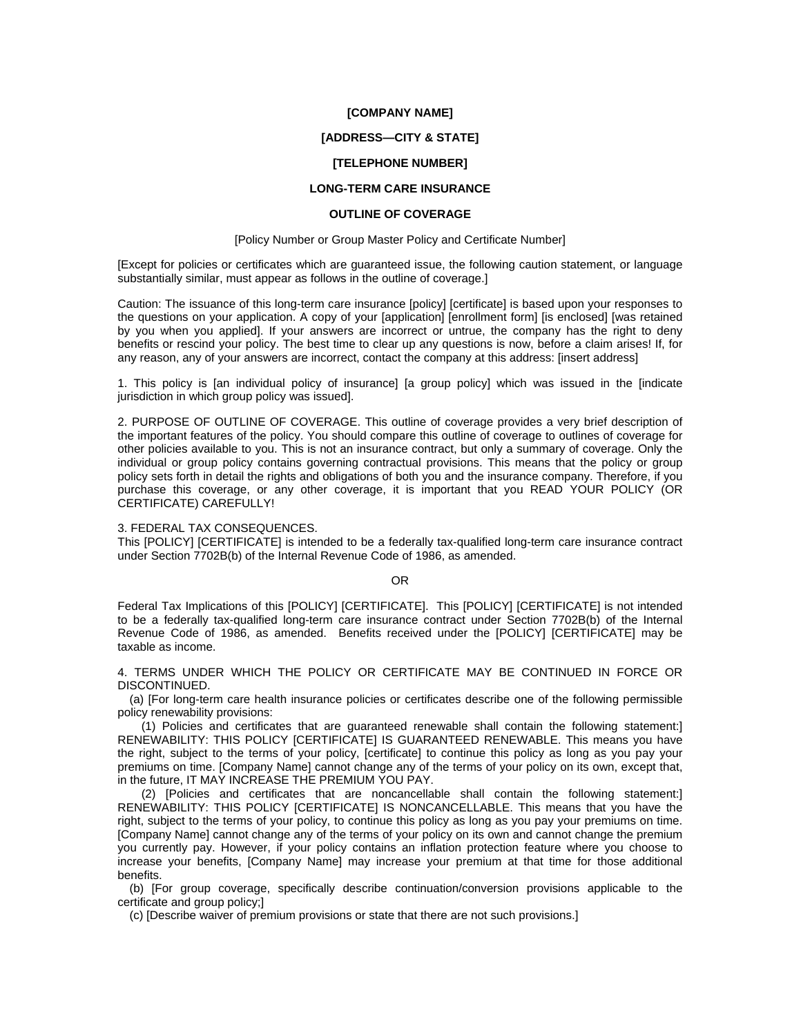### **[COMPANY NAME]**

### **[ADDRESS—CITY & STATE]**

# **[TELEPHONE NUMBER]**

# **LONG-TERM CARE INSURANCE**

# **OUTLINE OF COVERAGE**

#### [Policy Number or Group Master Policy and Certificate Number]

[Except for policies or certificates which are guaranteed issue, the following caution statement, or language substantially similar, must appear as follows in the outline of coverage.]

Caution: The issuance of this long-term care insurance [policy] [certificate] is based upon your responses to the questions on your application. A copy of your [application] [enrollment form] [is enclosed] [was retained by you when you applied]. If your answers are incorrect or untrue, the company has the right to deny benefits or rescind your policy. The best time to clear up any questions is now, before a claim arises! If, for any reason, any of your answers are incorrect, contact the company at this address: [insert address]

1. This policy is [an individual policy of insurance] [a group policy] which was issued in the [indicate jurisdiction in which group policy was issued].

2. PURPOSE OF OUTLINE OF COVERAGE. This outline of coverage provides a very brief description of the important features of the policy. You should compare this outline of coverage to outlines of coverage for other policies available to you. This is not an insurance contract, but only a summary of coverage. Only the individual or group policy contains governing contractual provisions. This means that the policy or group policy sets forth in detail the rights and obligations of both you and the insurance company. Therefore, if you purchase this coverage, or any other coverage, it is important that you READ YOUR POLICY (OR CERTIFICATE) CAREFULLY!

### 3. FEDERAL TAX CONSEQUENCES.

This [POLICY] [CERTIFICATE] is intended to be a federally tax-qualified long-term care insurance contract under Section 7702B(b) of the Internal Revenue Code of 1986, as amended.

OR

Federal Tax Implications of this [POLICY] [CERTIFICATE]. This [POLICY] [CERTIFICATE] is not intended to be a federally tax-qualified long-term care insurance contract under Section 7702B(b) of the Internal Revenue Code of 1986, as amended. Benefits received under the [POLICY] [CERTIFICATE] may be taxable as income.

4. TERMS UNDER WHICH THE POLICY OR CERTIFICATE MAY BE CONTINUED IN FORCE OR DISCONTINUED.

(a) [For long-term care health insurance policies or certificates describe one of the following permissible policy renewability provisions:

(1) Policies and certificates that are guaranteed renewable shall contain the following statement:] RENEWABILITY: THIS POLICY [CERTIFICATE] IS GUARANTEED RENEWABLE. This means you have the right, subject to the terms of your policy, [certificate] to continue this policy as long as you pay your premiums on time. [Company Name] cannot change any of the terms of your policy on its own, except that, in the future, IT MAY INCREASE THE PREMIUM YOU PAY.

(2) [Policies and certificates that are noncancellable shall contain the following statement:] RENEWABILITY: THIS POLICY [CERTIFICATE] IS NONCANCELLABLE. This means that you have the right, subject to the terms of your policy, to continue this policy as long as you pay your premiums on time. [Company Name] cannot change any of the terms of your policy on its own and cannot change the premium you currently pay. However, if your policy contains an inflation protection feature where you choose to increase your benefits, [Company Name] may increase your premium at that time for those additional benefits.

(b) [For group coverage, specifically describe continuation/conversion provisions applicable to the certificate and group policy;]

(c) [Describe waiver of premium provisions or state that there are not such provisions.]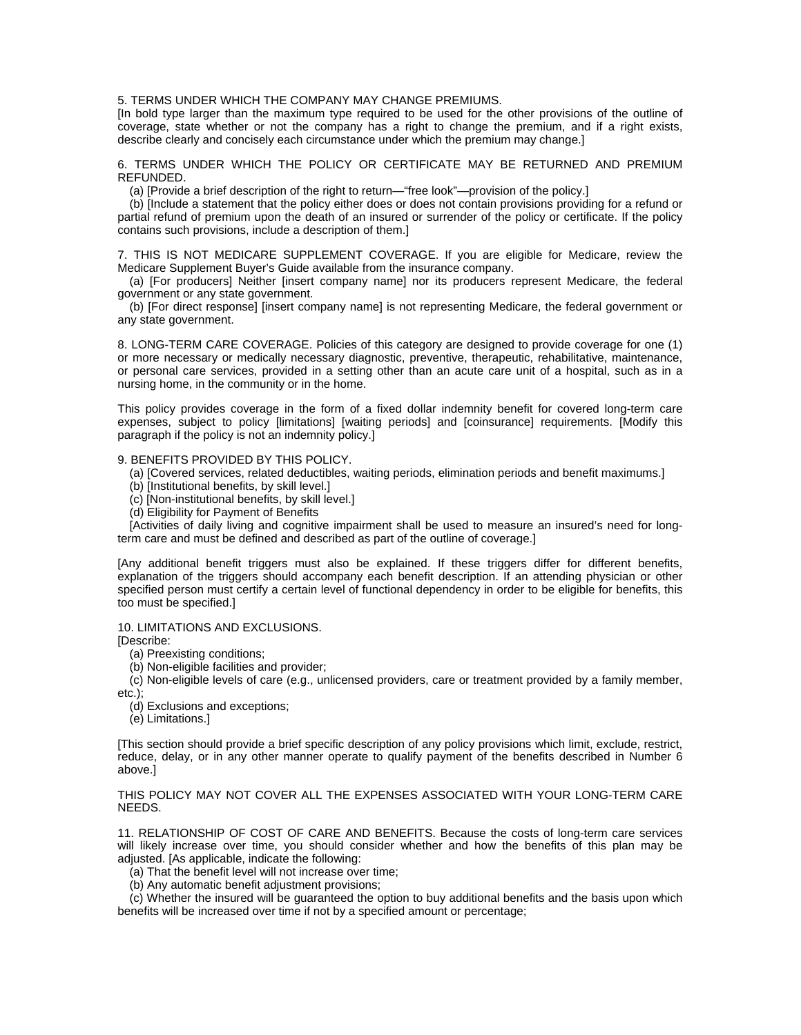# 5. TERMS UNDER WHICH THE COMPANY MAY CHANGE PREMIUMS.

[In bold type larger than the maximum type required to be used for the other provisions of the outline of coverage, state whether or not the company has a right to change the premium, and if a right exists, describe clearly and concisely each circumstance under which the premium may change.]

6. TERMS UNDER WHICH THE POLICY OR CERTIFICATE MAY BE RETURNED AND PREMIUM REFUNDED.

(a) [Provide a brief description of the right to return—"free look"—provision of the policy.]

(b) [Include a statement that the policy either does or does not contain provisions providing for a refund or partial refund of premium upon the death of an insured or surrender of the policy or certificate. If the policy contains such provisions, include a description of them.]

7. THIS IS NOT MEDICARE SUPPLEMENT COVERAGE. If you are eligible for Medicare, review the Medicare Supplement Buyer's Guide available from the insurance company.

(a) [For producers] Neither [insert company name] nor its producers represent Medicare, the federal government or any state government.

(b) [For direct response] [insert company name] is not representing Medicare, the federal government or any state government.

8. LONG-TERM CARE COVERAGE. Policies of this category are designed to provide coverage for one (1) or more necessary or medically necessary diagnostic, preventive, therapeutic, rehabilitative, maintenance, or personal care services, provided in a setting other than an acute care unit of a hospital, such as in a nursing home, in the community or in the home.

This policy provides coverage in the form of a fixed dollar indemnity benefit for covered long-term care expenses, subject to policy [limitations] [waiting periods] and [coinsurance] requirements. [Modify this paragraph if the policy is not an indemnity policy.]

# 9. BENEFITS PROVIDED BY THIS POLICY.

(a) [Covered services, related deductibles, waiting periods, elimination periods and benefit maximums.]

- (b) [Institutional benefits, by skill level.]
- (c) [Non-institutional benefits, by skill level.]
- (d) Eligibility for Payment of Benefits

[Activities of daily living and cognitive impairment shall be used to measure an insured's need for longterm care and must be defined and described as part of the outline of coverage.]

[Any additional benefit triggers must also be explained. If these triggers differ for different benefits, explanation of the triggers should accompany each benefit description. If an attending physician or other specified person must certify a certain level of functional dependency in order to be eligible for benefits, this too must be specified.]

10. LIMITATIONS AND EXCLUSIONS.

[Describe:

(a) Preexisting conditions;

(b) Non-eligible facilities and provider;

(c) Non-eligible levels of care (e.g., unlicensed providers, care or treatment provided by a family member,

etc.);

(d) Exclusions and exceptions;

(e) Limitations.]

[This section should provide a brief specific description of any policy provisions which limit, exclude, restrict, reduce, delay, or in any other manner operate to qualify payment of the benefits described in Number 6 above.]

# THIS POLICY MAY NOT COVER ALL THE EXPENSES ASSOCIATED WITH YOUR LONG-TERM CARE NEEDS.

11. RELATIONSHIP OF COST OF CARE AND BENEFITS. Because the costs of long-term care services will likely increase over time, you should consider whether and how the benefits of this plan may be adjusted. [As applicable, indicate the following:

(a) That the benefit level will not increase over time;

(b) Any automatic benefit adjustment provisions;

(c) Whether the insured will be guaranteed the option to buy additional benefits and the basis upon which benefits will be increased over time if not by a specified amount or percentage;